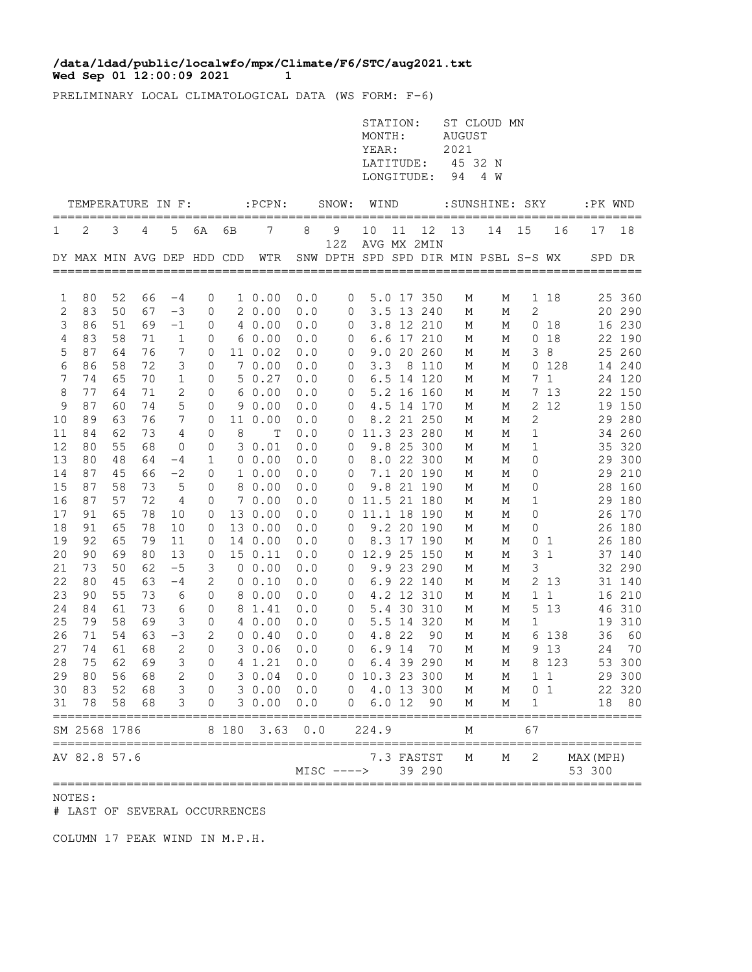## **Wed Sep 01 12:00:09 2021 11 1 /data/ldad/public/localwfo/mpx/Climate/F6/STC/aug2021.txt**

PRELIMINARY LOCAL CLIMATOLOGICAL DATA (WS FORM: F-6)

|          |                             |          |          |                 |                                  |    |                         |            |                  | STATION:<br>MONTH:<br>YEAR:<br>LATITUDE:<br>LONGITUDE: |        |                          | AUGUST<br>2021<br>45 32 N<br>94 | ST CLOUD MN<br>4 W                   |                   |                 |                     |                  |
|----------|-----------------------------|----------|----------|-----------------|----------------------------------|----|-------------------------|------------|------------------|--------------------------------------------------------|--------|--------------------------|---------------------------------|--------------------------------------|-------------------|-----------------|---------------------|------------------|
|          | TEMPERATURE IN F:           |          |          |                 |                                  |    | $:$ PCPN $:$            |            | SNOW:            | WIND                                                   |        |                          |                                 | :SUNSHINE: SKY                       |                   |                 | :PK WND             |                  |
| 1        | 2                           | 3        | 4        | 5               | 6A                               | 6В | 7                       | 8          | 9                | 10                                                     | 11     | 12                       | 13                              | 14                                   | 15                | 16              | 17                  | 18               |
|          | DY MAX MIN AVG DEP HDD CDD  |          |          |                 |                                  |    | WTR                     |            | 12Z              | AVG MX 2MIN                                            |        |                          |                                 | SNW DPTH SPD SPD DIR MIN PSBL S-S WX |                   |                 |                     | SPD DR           |
|          |                             |          |          |                 |                                  |    |                         |            |                  |                                                        |        |                          |                                 |                                      |                   |                 |                     |                  |
| 1<br>2   | 80<br>83                    | 52<br>50 | 66<br>67 | -4<br>$-3$      | 0<br>0                           |    | 10.00<br>20.00          | 0.0<br>0.0 | $\mathbf 0$<br>0 |                                                        |        | 5.0 17 350<br>3.5 13 240 | М<br>М                          | М<br>М                               | 2                 | 1 18            |                     | 25 360<br>20 290 |
| 3        | 86                          | 51       | 69       | $-1$            | 0                                |    | 40.00                   | 0.0        | 0                |                                                        |        | 3.8 12 210               | М                               | М                                    |                   | 0 <sub>18</sub> |                     | 16 230           |
| 4        | 83                          | 58       | 71       | $\mathbf{1}$    | 0                                |    | 60.00                   | 0.0        | $\mathbf 0$      |                                                        |        | 6.6 17 210               | М                               | М                                    |                   | 0 <sub>18</sub> |                     | 22 190           |
| 5        | 87                          | 64       | 76       | 7               | 0                                |    | 11 0.02                 | 0.0        | $\overline{0}$   |                                                        |        | 9.0 20 260               | М                               | М                                    |                   | 38              |                     | 25 260           |
| 6        | 86                          | 58       | 72       | 3               | $\mathbf 0$                      |    | 70.00                   | 0.0        | $\overline{0}$   | 3.3                                                    |        | 8 110                    | М                               | М                                    |                   | 0 128           |                     | 14 240           |
| 7        | 74                          | 65       | 70       | $\mathbf 1$     | 0                                |    | 50.27                   | 0.0        | $\mathbf 0$      |                                                        |        | 6.5 14 120               | М                               | М                                    |                   | 7 <sub>1</sub>  |                     | 24 120           |
| 8        | 77                          | 64       | 71       | 2               | 0                                |    | 60.00                   | 0.0        | 0                |                                                        |        | 5.2 16 160               | М                               | М                                    |                   | 7 13            |                     | 22 150           |
| 9        | 87                          | 60       | 74       | 5               | 0                                |    | 90.00                   | 0.0        | 0                |                                                        |        | 4.5 14 170               | М                               | М                                    |                   | 2 12            |                     | 19 150           |
| 10       | 89                          | 63       | 76       | $7\phantom{.0}$ | 0                                |    | 11 0.00                 | 0.0        | 0                |                                                        |        | 8.2 21 250               | М                               | М                                    | $\mathbf{2}$      |                 |                     | 29 280           |
| 11       | 84                          | 62       | 73       | 4               | 0                                | 8  | Т                       | 0.0        |                  | 0 11.3 23 280                                          |        |                          | М                               | М                                    | 1                 |                 |                     | 34 260           |
| 12       | 80                          | 55       | 68       | 0               | 0                                |    | 30.01                   | 0.0        | 0                |                                                        |        | 9.8 25 300               | М                               | М                                    | 1                 |                 |                     | 35 320           |
| 13       | 80                          | 48       | 64       | -4              | 1                                |    | $0\;\;0.00$             | 0.0        | 0                |                                                        |        | 8.0 22 300               | М                               | М                                    | 0                 |                 |                     | 29 300           |
| 14       | 87                          | 45       | 66       | $-2$            | 0                                |    | 10.00                   | 0.0        | 0                |                                                        |        | 7.1 20 190               | М                               | М                                    | 0                 |                 |                     | 29 210           |
| 15       | 87                          | 58       | 73       | 5               | 0                                |    | 8 0.00                  | 0.0        | 0                |                                                        |        | 9.8 21 190               | М                               | М                                    | 0                 |                 |                     | 28 160           |
| 16<br>17 | 87<br>91                    | 57<br>65 | 72<br>78 | 4               | 0<br>0                           |    | 7 0.00<br>13 0.00       | 0.0        |                  | 0 11.5 21 180                                          |        |                          | М                               | М                                    | $\mathbf{1}$<br>0 |                 |                     | 29 180           |
| 18       | 91                          | 65       | 78       | 10<br>10        | 0                                |    | 13 0.00                 | 0.0<br>0.0 | 0                | 0 11.1 18 190                                          |        | 9.2 20 190               | М                               | М<br>М                               | 0                 |                 |                     | 26 170<br>26 180 |
| 19       | 92                          | 65       | 79       | 11              | 0                                |    | 14 0.00                 | 0.0        | 0                |                                                        |        | 8.3 17 190               | М<br>М                          | М                                    | 0                 | 1               |                     | 26 180           |
| 20       | 90                          | 69       | 80       | 13              | 0                                |    | 15 0.11                 | 0.0        | 0                | 12.9 25 150                                            |        |                          | М                               | М                                    | 3                 | $\mathbf{1}$    |                     | 37 140           |
| 21       | 73                          | 50       | 62       | $-5$            | 3                                |    | 0 0.00                  | 0.0        | 0                |                                                        |        | 9.9 23 290               | М                               | М                                    | 3                 |                 |                     | 32 290           |
| 22       | 80                          | 45       | 63       | $-4$            | $\mathbf{2}$                     |    | 0 0.10                  | 0.0        | $\mathbf 0$      |                                                        |        | 6.9 22 140               | М                               | М                                    |                   | 2 13            |                     | 31 140           |
| 23       | 90                          | 55       | 73       | 6               | 0                                |    | 8 0.00                  | 0.0        | $\mathbf 0$      |                                                        |        | 4.2 12 310               | М                               | М                                    |                   | $1\quad1$       |                     | 16 210           |
| 24       | 84                          | 61       | 73       | 6               | 0                                |    | 8 1.41                  | 0.0        | 0                |                                                        |        | 5.4 30 310               | М                               | М                                    |                   | 5 13            |                     | 46 310           |
| 25       | 79                          | 58       | 69       | 3               | 0                                |    | 4 0.00                  | 0.0        | 0                |                                                        |        | 5.5 14 320               | М                               | М                                    | 1                 |                 |                     | 19 310           |
| 26       | 71                          | 54       | 63       | $-3$            | 2                                |    | $0 \t 0.40$             | 0.0        | 0                |                                                        | 4.8 22 | 90                       | М                               | М                                    |                   | 6 138           | 36                  | 60               |
| 27       | 74                          | 61       | 68       | $\mathbf{2}$    | $\mathbf{0}$                     |    | 30.06                   | 0.0        | 0                |                                                        | 6.9 14 | 70                       | М                               | М                                    |                   | 9 1 3           |                     | 24 70            |
|          | 28 75                       |          |          | 62 69 3         |                                  |    | $0 \t 4 \t 1.21 \t 0.0$ |            |                  | $0\quad 6.4\quad 39\quad 290$                          |        |                          | M                               |                                      |                   | M 8 123         |                     | 53 300           |
| 29       | 80                          | 56       | 68       | $\mathbf{2}$    | $\overline{0}$                   |    | 3 0.04                  | 0.0        |                  | 0 10.3 23 300                                          |        |                          | М                               | М                                    |                   | $1\quad1$       |                     | 29 300           |
| 30       |                             | 83 52    | 68       |                 | 3 <sup>7</sup><br>$\overline{0}$ |    | 30.00                   | 0.0        |                  | $0 \t 4.0 \t 13 \t 300$                                |        |                          | М                               | М                                    |                   | 0 <sub>1</sub>  |                     | 22 320           |
| 31       | 78                          | 58       | 68       | 3               | $\mathbf 0$                      |    | 30.00                   | 0.0        | 0                | 6.012                                                  |        | 90                       | М                               | М                                    | 1                 |                 | 18                  | 80               |
|          | SM 2568 1786<br>=========== |          |          |                 |                                  |    | 8 180 3.63              | 0.0        |                  | 224.9                                                  |        |                          | М                               |                                      | 67                |                 |                     |                  |
|          | AV 82.8 57.6                |          |          |                 |                                  |    |                         |            | $MISC$ $---$     |                                                        |        | 7.3 FASTST<br>39 290     | М                               | М                                    | 2                 |                 | MAX (MPH)<br>53 300 |                  |

NOTES:

# LAST OF SEVERAL OCCURRENCES

COLUMN 17 PEAK WIND IN M.P.H.